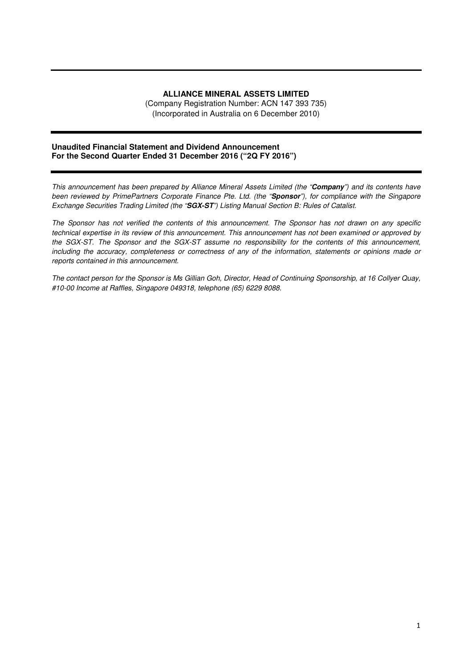# **ALLIANCE MINERAL ASSETS LIMITED**

(Company Registration Number: ACN 147 393 735) (Incorporated in Australia on 6 December 2010)

### **Unaudited Financial Statement and Dividend Announcement For the Second Quarter Ended 31 December 2016 ("2Q FY 2016")**

*This announcement has been prepared by Alliance Mineral Assets Limited (the "***Company***") and its contents have been reviewed by PrimePartners Corporate Finance Pte. Ltd. (the "***Sponsor***"), for compliance with the Singapore Exchange Securities Trading Limited (the "***SGX-ST***") Listing Manual Section B: Rules of Catalist.* 

*The Sponsor has not verified the contents of this announcement. The Sponsor has not drawn on any specific technical expertise in its review of this announcement. This announcement has not been examined or approved by the SGX-ST. The Sponsor and the SGX-ST assume no responsibility for the contents of this announcement, including the accuracy, completeness or correctness of any of the information, statements or opinions made or reports contained in this announcement.* 

*The contact person for the Sponsor is Ms Gillian Goh, Director, Head of Continuing Sponsorship, at 16 Collyer Quay, #10-00 Income at Raffles, Singapore 049318, telephone (65) 6229 8088.*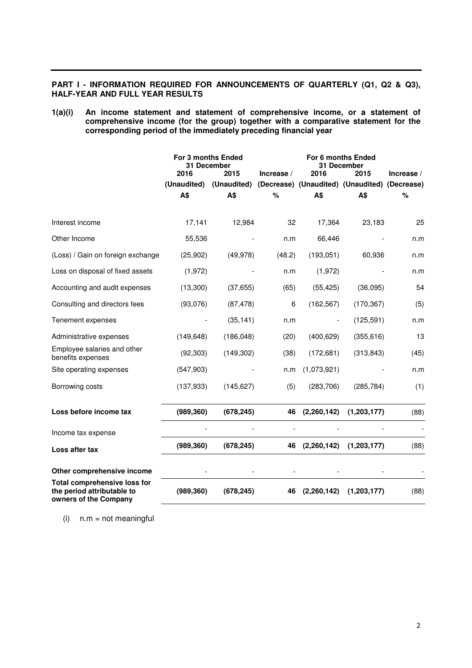# **PART I - INFORMATION REQUIRED FOR ANNOUNCEMENTS OF QUARTERLY (Q1, Q2 & Q3), HALF-YEAR AND FULL YEAR RESULTS**

**1(a)(i) An income statement and statement of comprehensive income, or a statement of comprehensive income (for the group) together with a comparative statement for the corresponding period of the immediately preceding financial year** 

|                                                                                            | For 3 months Ended<br>31 December |                                 | For 6 months Ended<br>31 December |               |                                                       |            |
|--------------------------------------------------------------------------------------------|-----------------------------------|---------------------------------|-----------------------------------|---------------|-------------------------------------------------------|------------|
|                                                                                            | 2016                              | 2015<br>(Unaudited) (Unaudited) | Increase /                        | 2016          | 2015<br>(Decrease) (Unaudited) (Unaudited) (Decrease) | Increase / |
|                                                                                            | A\$                               | A\$                             | %                                 | A\$           | A\$                                                   | %          |
| Interest income                                                                            | 17,141                            | 12,984                          | 32                                | 17,364        | 23,183                                                | 25         |
| Other Income                                                                               | 55,536                            |                                 | n.m                               | 66,446        |                                                       | n.m        |
| (Loss) / Gain on foreign exchange                                                          | (25, 902)                         | (49, 978)                       | (48.2)                            | (193, 051)    | 60,936                                                | n.m        |
| Loss on disposal of fixed assets                                                           | (1, 972)                          |                                 | n.m                               | (1, 972)      |                                                       | n.m        |
| Accounting and audit expenses                                                              | (13,300)                          | (37, 655)                       | (65)                              | (55, 425)     | (36,095)                                              | 54         |
| Consulting and directors fees                                                              | (93,076)                          | (87, 478)                       | 6                                 | (162, 567)    | (170, 367)                                            | (5)        |
| Tenement expenses                                                                          |                                   | (35, 141)                       | n.m                               |               | (125, 591)                                            | n.m        |
| Administrative expenses                                                                    | (149, 648)                        | (186, 048)                      | (20)                              | (400, 629)    | (355, 616)                                            | 13         |
| Employee salaries and other<br>benefits expenses                                           | (92, 303)                         | (149, 302)                      | (38)                              | (172, 681)    | (313, 843)                                            | (45)       |
| Site operating expenses                                                                    | (547,903)                         |                                 | n.m                               | (1,073,921)   |                                                       | n.m        |
| Borrowing costs                                                                            | (137, 933)                        | (145, 627)                      | (5)                               | (283, 706)    | (285, 784)                                            | (1)        |
| Loss before income tax                                                                     | (989, 360)                        | (678, 245)                      | 46                                | (2, 260, 142) | (1,203,177)                                           | (88)       |
| Income tax expense                                                                         |                                   |                                 |                                   |               |                                                       |            |
| Loss after tax                                                                             | (989, 360)                        | (678, 245)                      | 46                                | (2,260,142)   | (1,203,177)                                           | (88)       |
| Other comprehensive income                                                                 |                                   |                                 |                                   |               |                                                       |            |
| <b>Total comprehensive loss for</b><br>the period attributable to<br>owners of the Company | (989, 360)                        | (678, 245)                      | 46                                | (2,260,142)   | (1,203,177)                                           | (88)       |

 $(i)$  n.m = not meaningful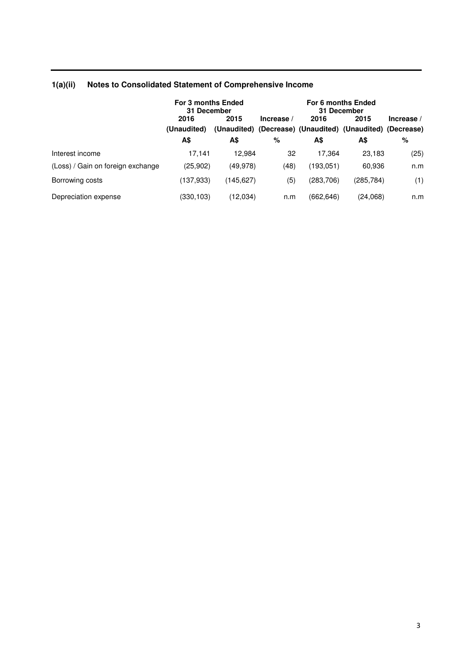|                                   | For 3 months Ended<br>31 December |            | For 6 months Ended<br>31 December |            |                                                                   |            |
|-----------------------------------|-----------------------------------|------------|-----------------------------------|------------|-------------------------------------------------------------------|------------|
|                                   | 2016<br>(Unaudited)               | 2015       | Increase /                        | 2016       | 2015<br>(Unaudited) (Decrease) (Unaudited) (Unaudited) (Decrease) | Increase / |
|                                   | A\$                               | A\$        | %                                 | А\$        | A\$                                                               | %          |
| Interest income                   | 17.141                            | 12.984     | 32                                | 17.364     | 23,183                                                            | (25)       |
| (Loss) / Gain on foreign exchange | (25,902)                          | (49, 978)  | (48)                              | (193,051)  | 60,936                                                            | n.m        |
| Borrowing costs                   | (137,933)                         | (145, 627) | (5)                               | (283, 706) | (285, 784)                                                        | (1)        |
| Depreciation expense              | (330,103)                         | (12,034)   | n.m                               | (662, 646) | (24,068)                                                          | n.m        |

# **1(a)(ii) Notes to Consolidated Statement of Comprehensive Income**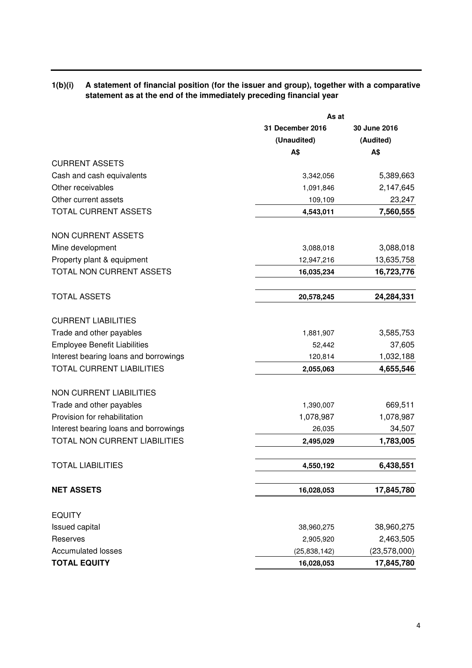# **1(b)(i) A statement of financial position (for the issuer and group), together with a comparative statement as at the end of the immediately preceding financial year**

|                                       | As at            |                |  |  |
|---------------------------------------|------------------|----------------|--|--|
|                                       | 31 December 2016 | 30 June 2016   |  |  |
|                                       | (Unaudited)      | (Audited)      |  |  |
|                                       | A\$              | A\$            |  |  |
| <b>CURRENT ASSETS</b>                 |                  |                |  |  |
| Cash and cash equivalents             | 3,342,056        | 5,389,663      |  |  |
| Other receivables                     | 1,091,846        | 2,147,645      |  |  |
| Other current assets                  | 109,109          | 23,247         |  |  |
| TOTAL CURRENT ASSETS                  | 4,543,011        | 7,560,555      |  |  |
| <b>NON CURRENT ASSETS</b>             |                  |                |  |  |
| Mine development                      | 3,088,018        | 3,088,018      |  |  |
| Property plant & equipment            | 12,947,216       | 13,635,758     |  |  |
| TOTAL NON CURRENT ASSETS              | 16,035,234       | 16,723,776     |  |  |
| <b>TOTAL ASSETS</b>                   | 20,578,245       | 24,284,331     |  |  |
| <b>CURRENT LIABILITIES</b>            |                  |                |  |  |
| Trade and other payables              | 1,881,907        | 3,585,753      |  |  |
| <b>Employee Benefit Liabilities</b>   | 52,442           | 37,605         |  |  |
| Interest bearing loans and borrowings | 120,814          | 1,032,188      |  |  |
| <b>TOTAL CURRENT LIABILITIES</b>      | 2,055,063        | 4,655,546      |  |  |
| <b>NON CURRENT LIABILITIES</b>        |                  |                |  |  |
| Trade and other payables              | 1,390,007        | 669,511        |  |  |
| Provision for rehabilitation          | 1,078,987        | 1,078,987      |  |  |
| Interest bearing loans and borrowings | 26,035           | 34,507         |  |  |
| TOTAL NON CURRENT LIABILITIES         | 2,495,029        | 1,783,005      |  |  |
| <b>TOTAL LIABILITIES</b>              | 4,550,192        | 6,438,551      |  |  |
| <b>NET ASSETS</b>                     | 16,028,053       | 17,845,780     |  |  |
| <b>EQUITY</b>                         |                  |                |  |  |
| Issued capital                        | 38,960,275       | 38,960,275     |  |  |
| Reserves                              | 2,905,920        | 2,463,505      |  |  |
| <b>Accumulated losses</b>             | (25,838,142)     | (23, 578, 000) |  |  |
| <b>TOTAL EQUITY</b>                   | 16,028,053       | 17,845,780     |  |  |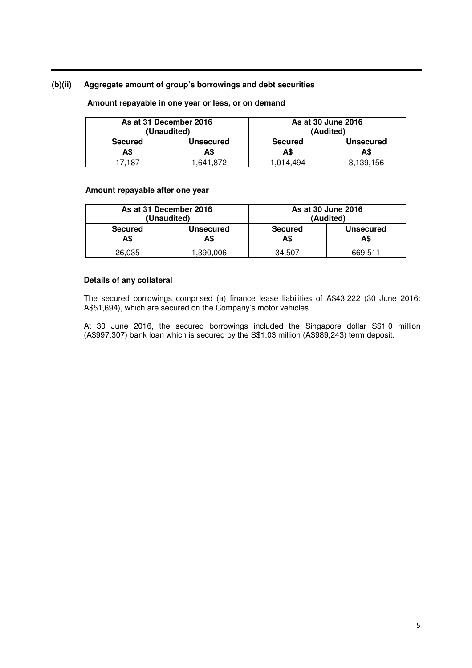### **(b)(ii) Aggregate amount of group's borrowings and debt securities**

| As at 31 December 2016<br>(Unaudited) |                         |                       | As at 30 June 2016<br>(Audited) |
|---------------------------------------|-------------------------|-----------------------|---------------------------------|
| <b>Secured</b><br>A\$                 | <b>Unsecured</b><br>A\$ | <b>Secured</b><br>A\$ | <b>Unsecured</b><br>A\$         |
| 17.187                                | .641.872                | .014.494 "            | 3.139.156                       |

### **Amount repayable in one year or less, or on demand**

### **Amount repayable after one year**

| As at 31 December 2016 |                  | As at 30 June 2016 |                  |  |
|------------------------|------------------|--------------------|------------------|--|
| (Unaudited)            |                  | (Audited)          |                  |  |
| <b>Secured</b>         | <b>Unsecured</b> | <b>Secured</b>     | <b>Unsecured</b> |  |
| A\$                    | A\$              | A\$                | A\$              |  |
| 26,035                 | .390.006         | 34.507             | 669.511          |  |

### **Details of any collateral**

The secured borrowings comprised (a) finance lease liabilities of A\$43,222 (30 June 2016: A\$51,694), which are secured on the Company's motor vehicles.

At 30 June 2016, the secured borrowings included the Singapore dollar S\$1.0 million (A\$997,307) bank loan which is secured by the S\$1.03 million (A\$989,243) term deposit.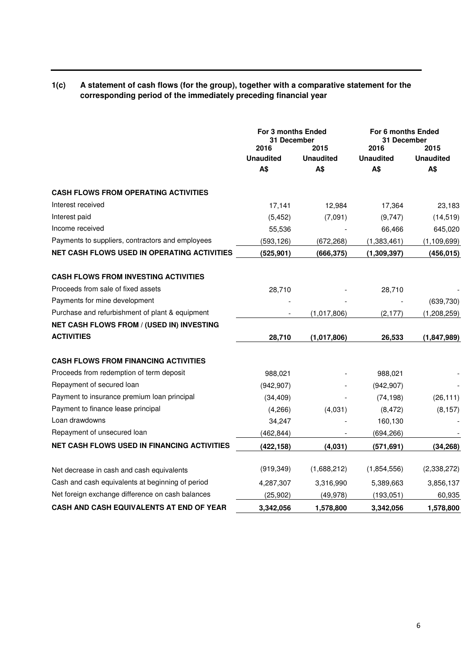# **1(c) A statement of cash flows (for the group), together with a comparative statement for the corresponding period of the immediately preceding financial year**

|                                                    | For 3 months Ended<br>31 December |                                        | For 6 months Ended<br>31 December |                                 |
|----------------------------------------------------|-----------------------------------|----------------------------------------|-----------------------------------|---------------------------------|
|                                                    | 2016<br><b>Unaudited</b><br>A\$   | 2015<br><b>Unaudited</b><br><b>A\$</b> | 2016<br><b>Unaudited</b><br>A\$   | 2015<br><b>Unaudited</b><br>A\$ |
| <b>CASH FLOWS FROM OPERATING ACTIVITIES</b>        |                                   |                                        |                                   |                                 |
| Interest received                                  | 17,141                            | 12,984                                 | 17,364                            | 23,183                          |
| Interest paid                                      | (5, 452)                          | (7,091)                                | (9,747)                           | (14, 519)                       |
| Income received                                    | 55,536                            |                                        | 66,466                            | 645,020                         |
| Payments to suppliers, contractors and employees   | (593, 126)                        | (672, 268)                             | (1,383,461)                       | (1, 109, 699)                   |
| NET CASH FLOWS USED IN OPERATING ACTIVITIES        | (525, 901)                        | (666, 375)                             | (1, 309, 397)                     | (456, 015)                      |
| <b>CASH FLOWS FROM INVESTING ACTIVITIES</b>        |                                   |                                        |                                   |                                 |
| Proceeds from sale of fixed assets                 | 28,710                            |                                        | 28,710                            |                                 |
| Payments for mine development                      |                                   |                                        |                                   | (639, 730)                      |
| Purchase and refurbishment of plant & equipment    |                                   | (1,017,806)                            | (2, 177)                          | (1,208,259)                     |
| NET CASH FLOWS FROM / (USED IN) INVESTING          |                                   |                                        |                                   |                                 |
| <b>ACTIVITIES</b>                                  | 28,710                            | (1,017,806)                            | 26,533                            | (1,847,989)                     |
| <b>CASH FLOWS FROM FINANCING ACTIVITIES</b>        |                                   |                                        |                                   |                                 |
| Proceeds from redemption of term deposit           | 988,021                           |                                        | 988,021                           |                                 |
| Repayment of secured loan                          | (942, 907)                        |                                        | (942, 907)                        |                                 |
| Payment to insurance premium loan principal        | (34, 409)                         |                                        | (74, 198)                         | (26, 111)                       |
| Payment to finance lease principal                 | (4,266)                           | (4,031)                                | (8, 472)                          | (8, 157)                        |
| Loan drawdowns                                     | 34,247                            |                                        | 160,130                           |                                 |
| Repayment of unsecured loan                        | (462, 844)                        |                                        | (694, 266)                        |                                 |
| <b>NET CASH FLOWS USED IN FINANCING ACTIVITIES</b> | (422, 158)                        | (4,031)                                | (571, 691)                        | (34, 268)                       |
| Net decrease in cash and cash equivalents          | (919, 349)                        | (1,688,212)                            | (1,854,556)                       | (2,338,272)                     |
| Cash and cash equivalents at beginning of period   | 4,287,307                         | 3,316,990                              | 5,389,663                         | 3,856,137                       |
| Net foreign exchange difference on cash balances   | (25, 902)                         | (49, 978)                              | (193, 051)                        | 60,935                          |
| CASH AND CASH EQUIVALENTS AT END OF YEAR           | 3,342,056                         | 1,578,800                              | 3,342,056                         | 1,578,800                       |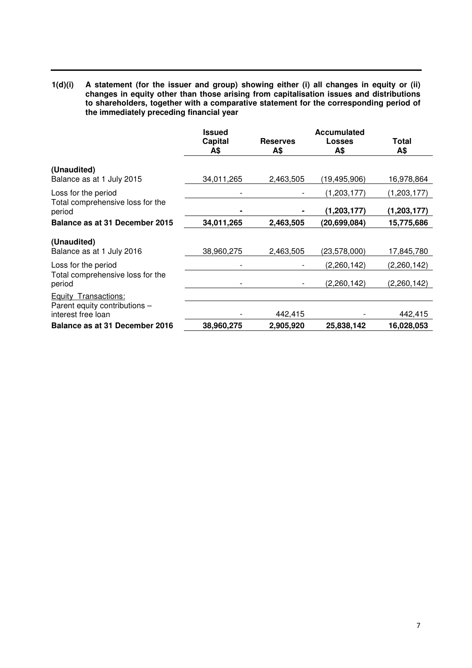**1(d)(i) A statement (for the issuer and group) showing either (i) all changes in equity or (ii) changes in equity other than those arising from capitalisation issues and distributions to shareholders, together with a comparative statement for the corresponding period of the immediately preceding financial year** 

|                                                                             | <b>Issued</b><br>Capital<br>A\$ | <b>Reserves</b><br>A\$ | Accumulated<br>Losses<br>A\$ | Total<br>A\$               |
|-----------------------------------------------------------------------------|---------------------------------|------------------------|------------------------------|----------------------------|
| (Unaudited)<br>Balance as at 1 July 2015                                    | 34,011,265                      | 2,463,505              | (19, 495, 906)               | 16,978,864                 |
| Loss for the period<br>Total comprehensive loss for the<br>period           |                                 |                        | (1, 203, 177)<br>(1,203,177) | (1,203,177)<br>(1,203,177) |
| Balance as at 31 December 2015                                              | 34,011,265                      | 2,463,505              | (20,699,084)                 | 15,775,686                 |
| (Unaudited)<br>Balance as at 1 July 2016                                    | 38,960,275                      | 2,463,505              | (23,578,000)                 | 17,845,780                 |
| Loss for the period                                                         |                                 |                        | (2,260,142)                  | (2,260,142)                |
| Total comprehensive loss for the<br>period                                  |                                 |                        | (2,260,142)                  | (2,260,142)                |
| Equity Transactions:<br>Parent equity contributions -<br>interest free loan |                                 | 442,415                |                              | 442,415                    |
| Balance as at 31 December 2016                                              | 38,960,275                      | 2,905,920              | 25,838,142                   | 16,028,053                 |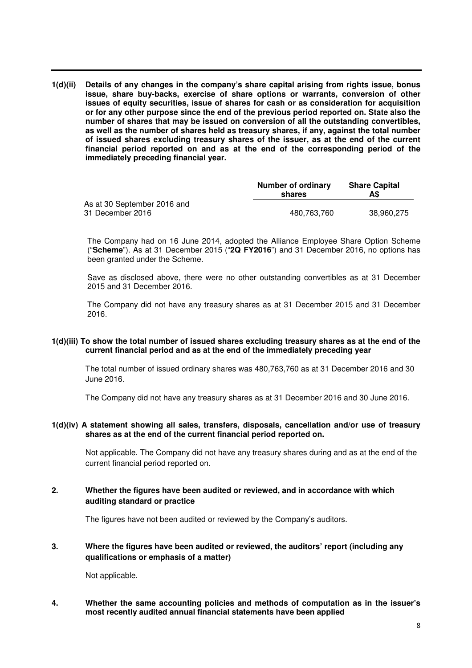**1(d)(ii) Details of any changes in the company's share capital arising from rights issue, bonus issue, share buy-backs, exercise of share options or warrants, conversion of other issues of equity securities, issue of shares for cash or as consideration for acquisition or for any other purpose since the end of the previous period reported on. State also the number of shares that may be issued on conversion of all the outstanding convertibles, as well as the number of shares held as treasury shares, if any, against the total number of issued shares excluding treasury shares of the issuer, as at the end of the current financial period reported on and as at the end of the corresponding period of the immediately preceding financial year.** 

| Number of ordinary<br>shares | <b>Share Capital</b><br>A\$ |
|------------------------------|-----------------------------|
|                              |                             |
| 480,763,760                  | 38,960,275                  |
|                              |                             |

The Company had on 16 June 2014, adopted the Alliance Employee Share Option Scheme ("**Scheme**"). As at 31 December 2015 ("**2Q FY2016**") and 31 December 2016, no options has been granted under the Scheme.

Save as disclosed above, there were no other outstanding convertibles as at 31 December 2015 and 31 December 2016.

The Company did not have any treasury shares as at 31 December 2015 and 31 December 2016.

### **1(d)(iii) To show the total number of issued shares excluding treasury shares as at the end of the current financial period and as at the end of the immediately preceding year**

The total number of issued ordinary shares was 480,763,760 as at 31 December 2016 and 30 June 2016.

The Company did not have any treasury shares as at 31 December 2016 and 30 June 2016.

### **1(d)(iv) A statement showing all sales, transfers, disposals, cancellation and/or use of treasury shares as at the end of the current financial period reported on.**

Not applicable. The Company did not have any treasury shares during and as at the end of the current financial period reported on.

# **2. Whether the figures have been audited or reviewed, and in accordance with which auditing standard or practice**

The figures have not been audited or reviewed by the Company's auditors.

# **3. Where the figures have been audited or reviewed, the auditors' report (including any qualifications or emphasis of a matter)**

Not applicable.

### **4. Whether the same accounting policies and methods of computation as in the issuer's most recently audited annual financial statements have been applied**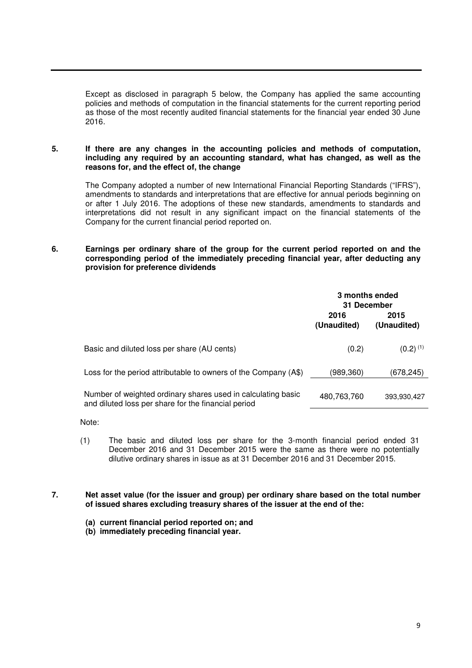Except as disclosed in paragraph 5 below, the Company has applied the same accounting policies and methods of computation in the financial statements for the current reporting period as those of the most recently audited financial statements for the financial year ended 30 June 2016.

**5. If there are any changes in the accounting policies and methods of computation, including any required by an accounting standard, what has changed, as well as the reasons for, and the effect of, the change** 

The Company adopted a number of new International Financial Reporting Standards ("IFRS"), amendments to standards and interpretations that are effective for annual periods beginning on or after 1 July 2016. The adoptions of these new standards, amendments to standards and interpretations did not result in any significant impact on the financial statements of the Company for the current financial period reported on.

**6. Earnings per ordinary share of the group for the current period reported on and the corresponding period of the immediately preceding financial year, after deducting any provision for preference dividends** 

|                                                                                                                     | 3 months ended<br>31 December |                        |
|---------------------------------------------------------------------------------------------------------------------|-------------------------------|------------------------|
|                                                                                                                     | 2016<br>(Unaudited)           | 2015<br>(Unaudited)    |
| Basic and diluted loss per share (AU cents)                                                                         | (0.2)                         | $(0.2)$ <sup>(1)</sup> |
| Loss for the period attributable to owners of the Company (A\$)                                                     | (989,360)                     | (678,245)              |
| Number of weighted ordinary shares used in calculating basic<br>and diluted loss per share for the financial period | 480,763,760                   | 393,930,427            |

Note:

- (1) The basic and diluted loss per share for the 3-month financial period ended 31 December 2016 and 31 December 2015 were the same as there were no potentially dilutive ordinary shares in issue as at 31 December 2016 and 31 December 2015.
- **7. Net asset value (for the issuer and group) per ordinary share based on the total number of issued shares excluding treasury shares of the issuer at the end of the:** 
	- **(a) current financial period reported on; and**
	- **(b) immediately preceding financial year.**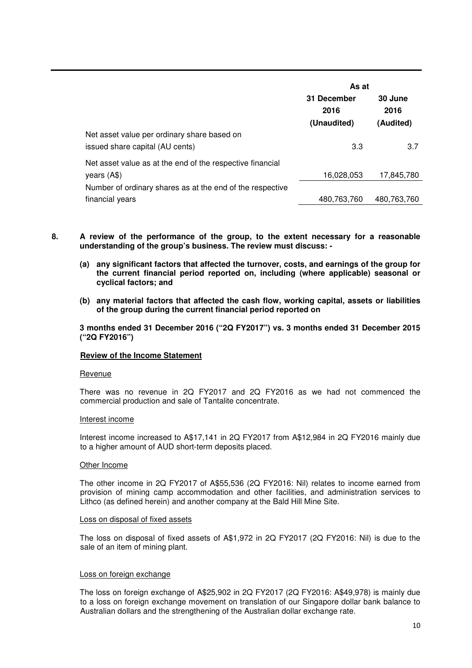|                                                           | As at               |                 |  |
|-----------------------------------------------------------|---------------------|-----------------|--|
|                                                           | 31 December<br>2016 | 30 June<br>2016 |  |
|                                                           | (Unaudited)         | (Audited)       |  |
| Net asset value per ordinary share based on               |                     |                 |  |
| issued share capital (AU cents)                           | 3.3                 | 3.7             |  |
| Net asset value as at the end of the respective financial |                     |                 |  |
| years $($ A\$ $)$                                         | 16,028,053          | 17,845,780      |  |
| Number of ordinary shares as at the end of the respective |                     |                 |  |
| financial years                                           | 480,763,760         | 480,763,760     |  |

- **8. A review of the performance of the group, to the extent necessary for a reasonable understanding of the group's business. The review must discuss: -** 
	- **(a) any significant factors that affected the turnover, costs, and earnings of the group for the current financial period reported on, including (where applicable) seasonal or cyclical factors; and**
	- **(b) any material factors that affected the cash flow, working capital, assets or liabilities of the group during the current financial period reported on**

**3 months ended 31 December 2016 ("2Q FY2017") vs. 3 months ended 31 December 2015 ("2Q FY2016")** 

### **Review of the Income Statement**

#### Revenue

There was no revenue in 2Q FY2017 and 2Q FY2016 as we had not commenced the commercial production and sale of Tantalite concentrate.

#### Interest income

Interest income increased to A\$17,141 in 2Q FY2017 from A\$12,984 in 2Q FY2016 mainly due to a higher amount of AUD short-term deposits placed.

#### Other Income

The other income in 2Q FY2017 of A\$55,536 (2Q FY2016: Nil) relates to income earned from provision of mining camp accommodation and other facilities, and administration services to Lithco (as defined herein) and another company at the Bald Hill Mine Site.

#### Loss on disposal of fixed assets

The loss on disposal of fixed assets of A\$1,972 in 2Q FY2017 (2Q FY2016: Nil) is due to the sale of an item of mining plant.

### Loss on foreign exchange

The loss on foreign exchange of A\$25,902 in 2Q FY2017 (2Q FY2016: A\$49,978) is mainly due to a loss on foreign exchange movement on translation of our Singapore dollar bank balance to Australian dollars and the strengthening of the Australian dollar exchange rate.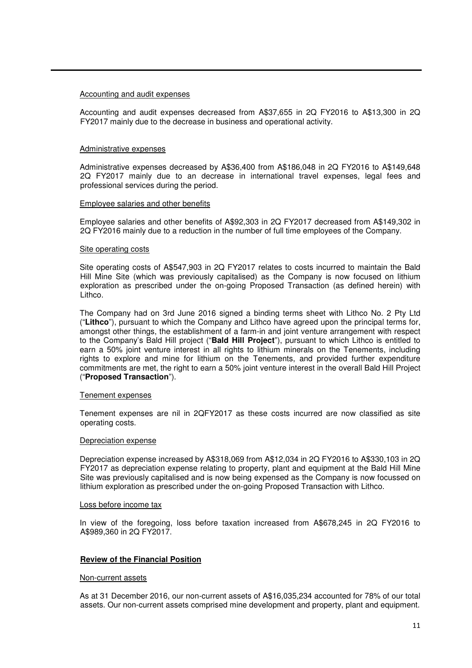#### Accounting and audit expenses

Accounting and audit expenses decreased from A\$37,655 in 2Q FY2016 to A\$13,300 in 2Q FY2017 mainly due to the decrease in business and operational activity.

#### Administrative expenses

Administrative expenses decreased by A\$36,400 from A\$186,048 in 2Q FY2016 to A\$149,648 2Q FY2017 mainly due to an decrease in international travel expenses, legal fees and professional services during the period.

#### Employee salaries and other benefits

Employee salaries and other benefits of A\$92,303 in 2Q FY2017 decreased from A\$149,302 in 2Q FY2016 mainly due to a reduction in the number of full time employees of the Company.

#### Site operating costs

Site operating costs of A\$547,903 in 2Q FY2017 relates to costs incurred to maintain the Bald Hill Mine Site (which was previously capitalised) as the Company is now focused on lithium exploration as prescribed under the on-going Proposed Transaction (as defined herein) with Lithco.

The Company had on 3rd June 2016 signed a binding terms sheet with Lithco No. 2 Pty Ltd ("**Lithco**"), pursuant to which the Company and Lithco have agreed upon the principal terms for, amongst other things, the establishment of a farm-in and joint venture arrangement with respect to the Company's Bald Hill project ("**Bald Hill Project**"), pursuant to which Lithco is entitled to earn a 50% joint venture interest in all rights to lithium minerals on the Tenements, including rights to explore and mine for lithium on the Tenements, and provided further expenditure commitments are met, the right to earn a 50% joint venture interest in the overall Bald Hill Project ("**Proposed Transaction**").

#### Tenement expenses

Tenement expenses are nil in 2QFY2017 as these costs incurred are now classified as site operating costs.

#### Depreciation expense

Depreciation expense increased by A\$318,069 from A\$12,034 in 2Q FY2016 to A\$330,103 in 2Q FY2017 as depreciation expense relating to property, plant and equipment at the Bald Hill Mine Site was previously capitalised and is now being expensed as the Company is now focussed on lithium exploration as prescribed under the on-going Proposed Transaction with Lithco.

#### Loss before income tax

In view of the foregoing, loss before taxation increased from A\$678,245 in 2Q FY2016 to A\$989,360 in 2Q FY2017.

### **Review of the Financial Position**

#### Non-current assets

As at 31 December 2016, our non-current assets of A\$16,035,234 accounted for 78% of our total assets. Our non-current assets comprised mine development and property, plant and equipment.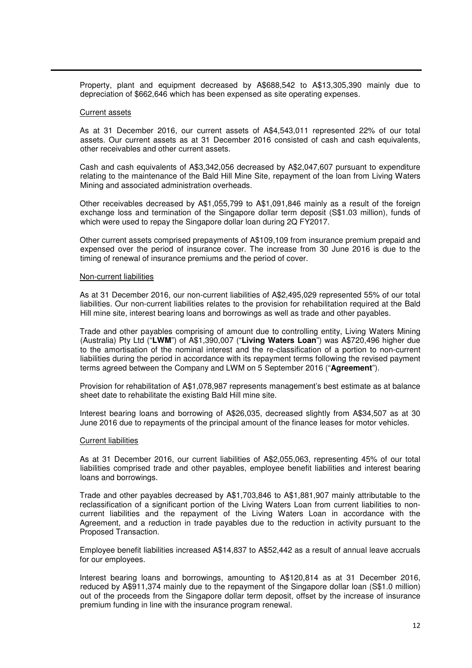Property, plant and equipment decreased by A\$688,542 to A\$13,305,390 mainly due to depreciation of \$662,646 which has been expensed as site operating expenses.

#### Current assets

As at 31 December 2016, our current assets of A\$4,543,011 represented 22% of our total assets. Our current assets as at 31 December 2016 consisted of cash and cash equivalents, other receivables and other current assets.

Cash and cash equivalents of A\$3,342,056 decreased by A\$2,047,607 pursuant to expenditure relating to the maintenance of the Bald Hill Mine Site, repayment of the loan from Living Waters Mining and associated administration overheads.

Other receivables decreased by A\$1,055,799 to A\$1,091,846 mainly as a result of the foreign exchange loss and termination of the Singapore dollar term deposit (S\$1.03 million), funds of which were used to repay the Singapore dollar loan during 2Q FY2017.

Other current assets comprised prepayments of A\$109,109 from insurance premium prepaid and expensed over the period of insurance cover. The increase from 30 June 2016 is due to the timing of renewal of insurance premiums and the period of cover.

#### Non-current liabilities

As at 31 December 2016, our non-current liabilities of A\$2,495,029 represented 55% of our total liabilities. Our non-current liabilities relates to the provision for rehabilitation required at the Bald Hill mine site, interest bearing loans and borrowings as well as trade and other payables.

Trade and other payables comprising of amount due to controlling entity, Living Waters Mining (Australia) Pty Ltd ("**LWM**") of A\$1,390,007 ("**Living Waters Loan**") was A\$720,496 higher due to the amortisation of the nominal interest and the re-classification of a portion to non-current liabilities during the period in accordance with its repayment terms following the revised payment terms agreed between the Company and LWM on 5 September 2016 ("**Agreement**").

Provision for rehabilitation of A\$1,078,987 represents management's best estimate as at balance sheet date to rehabilitate the existing Bald Hill mine site.

Interest bearing loans and borrowing of A\$26,035, decreased slightly from A\$34,507 as at 30 June 2016 due to repayments of the principal amount of the finance leases for motor vehicles.

### Current liabilities

As at 31 December 2016, our current liabilities of A\$2,055,063, representing 45% of our total liabilities comprised trade and other payables, employee benefit liabilities and interest bearing loans and borrowings.

Trade and other payables decreased by A\$1,703,846 to A\$1,881,907 mainly attributable to the reclassification of a significant portion of the Living Waters Loan from current liabilities to noncurrent liabilities and the repayment of the Living Waters Loan in accordance with the Agreement, and a reduction in trade payables due to the reduction in activity pursuant to the Proposed Transaction.

Employee benefit liabilities increased A\$14,837 to A\$52,442 as a result of annual leave accruals for our employees.

Interest bearing loans and borrowings, amounting to A\$120,814 as at 31 December 2016, reduced by A\$911,374 mainly due to the repayment of the Singapore dollar loan (S\$1.0 million) out of the proceeds from the Singapore dollar term deposit, offset by the increase of insurance premium funding in line with the insurance program renewal.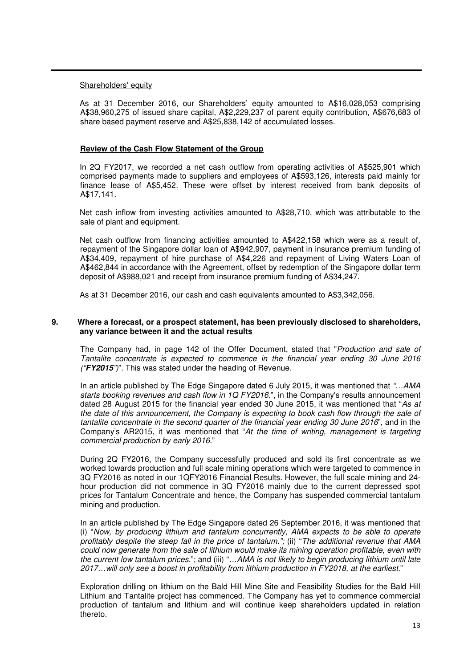### Shareholders' equity

As at 31 December 2016, our Shareholders' equity amounted to A\$16,028,053 comprising A\$38,960,275 of issued share capital, A\$2,229,237 of parent equity contribution, A\$676,683 of share based payment reserve and A\$25,838,142 of accumulated losses.

### **Review of the Cash Flow Statement of the Group**

In 2Q FY2017, we recorded a net cash outflow from operating activities of A\$525,901 which comprised payments made to suppliers and employees of A\$593,126, interests paid mainly for finance lease of A\$5,452. These were offset by interest received from bank deposits of A\$17,141.

Net cash inflow from investing activities amounted to A\$28,710, which was attributable to the sale of plant and equipment.

Net cash outflow from financing activities amounted to A\$422,158 which were as a result of, repayment of the Singapore dollar loan of A\$942,907, payment in insurance premium funding of A\$34,409, repayment of hire purchase of A\$4,226 and repayment of Living Waters Loan of A\$462,844 in accordance with the Agreement, offset by redemption of the Singapore dollar term deposit of A\$988,021 and receipt from insurance premium funding of A\$34,247.

As at 31 December 2016, our cash and cash equivalents amounted to A\$3,342,056.

### **9. Where a forecast, or a prospect statement, has been previously disclosed to shareholders, any variance between it and the actual results**

The Company had, in page 142 of the Offer Document, stated that "*Production and sale of Tantalite concentrate is expected to commence in the financial year ending 30 June 2016 ("***FY2015***")*". This was stated under the heading of Revenue.

In an article published by The Edge Singapore dated 6 July 2015, it was mentioned that *"…AMA starts booking revenues and cash flow in 1Q FY2016.*", in the Company's results announcement dated 28 August 2015 for the financial year ended 30 June 2015, it was mentioned that "*As at the date of this announcement, the Company is expecting to book cash flow through the sale of tantalite concentrate in the second quarter of the financial year ending 30 June 2016*", and in the Company's AR2015, it was mentioned that "*At the time of writing, management is targeting commercial production by early 2016.*"

During 2Q FY2016, the Company successfully produced and sold its first concentrate as we worked towards production and full scale mining operations which were targeted to commence in 3Q FY2016 as noted in our 1QFY2016 Financial Results. However, the full scale mining and 24 hour production did not commence in 3Q FY2016 mainly due to the current depressed spot prices for Tantalum Concentrate and hence, the Company has suspended commercial tantalum mining and production.

In an article published by The Edge Singapore dated 26 September 2016, it was mentioned that (i) "*Now, by producing lithium and tantalum concurrently, AMA expects to be able to operate profitably despite the steep fall in the price of tantalum.";* (ii) "*The additional revenue that AMA could now generate from the sale of lithium would make its mining operation profitable, even with the current low tantalum prices.*"; and (iii) "*…AMA is not likely to begin producing lithium until late 2017…will only see a boost in profitability from lithium production in FY2018, at the earliest.*"

Exploration drilling on lithium on the Bald Hill Mine Site and Feasibility Studies for the Bald Hill Lithium and Tantalite project has commenced. The Company has yet to commence commercial production of tantalum and lithium and will continue keep shareholders updated in relation thereto.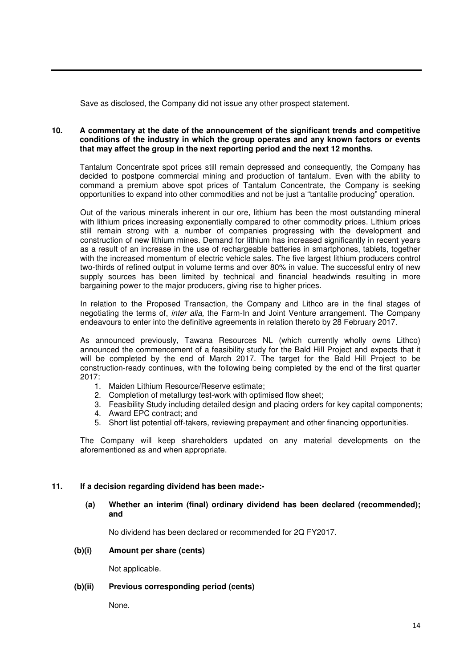Save as disclosed, the Company did not issue any other prospect statement.

### **10. A commentary at the date of the announcement of the significant trends and competitive conditions of the industry in which the group operates and any known factors or events that may affect the group in the next reporting period and the next 12 months.**

Tantalum Concentrate spot prices still remain depressed and consequently, the Company has decided to postpone commercial mining and production of tantalum. Even with the ability to command a premium above spot prices of Tantalum Concentrate, the Company is seeking opportunities to expand into other commodities and not be just a "tantalite producing" operation.

Out of the various minerals inherent in our ore, lithium has been the most outstanding mineral with lithium prices increasing exponentially compared to other commodity prices. Lithium prices still remain strong with a number of companies progressing with the development and construction of new lithium mines. Demand for lithium has increased significantly in recent years as a result of an increase in the use of rechargeable batteries in smartphones, tablets, together with the increased momentum of electric vehicle sales. The five largest lithium producers control two-thirds of refined output in volume terms and over 80% in value. The successful entry of new supply sources has been limited by technical and financial headwinds resulting in more bargaining power to the major producers, giving rise to higher prices.

In relation to the Proposed Transaction, the Company and Lithco are in the final stages of negotiating the terms of, *inter alia,* the Farm-In and Joint Venture arrangement. The Company endeavours to enter into the definitive agreements in relation thereto by 28 February 2017.

As announced previously, Tawana Resources NL (which currently wholly owns Lithco) announced the commencement of a feasibility study for the Bald Hill Project and expects that it will be completed by the end of March 2017. The target for the Bald Hill Project to be construction-ready continues, with the following being completed by the end of the first quarter 2017:

- 1. Maiden Lithium Resource/Reserve estimate;
- 2. Completion of metallurgy test-work with optimised flow sheet;
- 3. Feasibility Study including detailed design and placing orders for key capital components;
- 4. Award EPC contract; and
- 5. Short list potential off-takers, reviewing prepayment and other financing opportunities.

The Company will keep shareholders updated on any material developments on the aforementioned as and when appropriate.

# **11. If a decision regarding dividend has been made:-**

# **(a) Whether an interim (final) ordinary dividend has been declared (recommended); and**

No dividend has been declared or recommended for 2Q FY2017.

# **(b)(i) Amount per share (cents)**

Not applicable.

### **(b)(ii) Previous corresponding period (cents)**

None.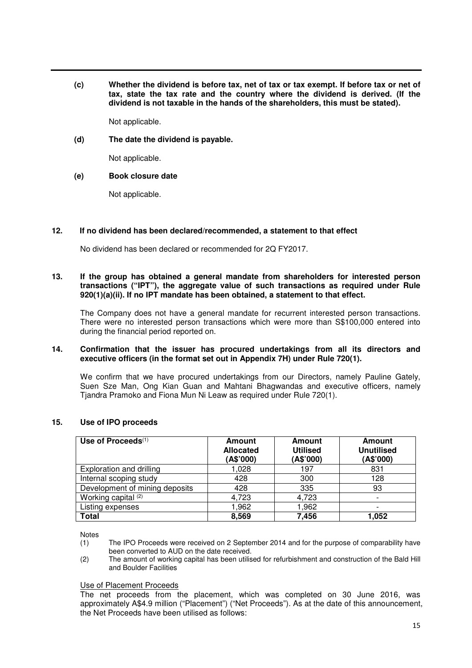**(c) Whether the dividend is before tax, net of tax or tax exempt. If before tax or net of tax, state the tax rate and the country where the dividend is derived. (If the dividend is not taxable in the hands of the shareholders, this must be stated).** 

Not applicable.

**(d) The date the dividend is payable.** 

Not applicable.

### **(e) Book closure date**

Not applicable.

# **12. If no dividend has been declared/recommended, a statement to that effect**

No dividend has been declared or recommended for 2Q FY2017.

### **13. If the group has obtained a general mandate from shareholders for interested person transactions ("IPT"), the aggregate value of such transactions as required under Rule 920(1)(a)(ii). If no IPT mandate has been obtained, a statement to that effect.**

 The Company does not have a general mandate for recurrent interested person transactions. There were no interested person transactions which were more than S\$100,000 entered into during the financial period reported on.

### **14. Confirmation that the issuer has procured undertakings from all its directors and executive officers (in the format set out in Appendix 7H) under Rule 720(1).**

We confirm that we have procured undertakings from our Directors, namely Pauline Gately, Suen Sze Man, Ong Kian Guan and Mahtani Bhagwandas and executive officers, namely Tjandra Pramoko and Fiona Mun Ni Leaw as required under Rule 720(1).

|  |  | 15. |  |  | Use of IPO proceeds |
|--|--|-----|--|--|---------------------|
|--|--|-----|--|--|---------------------|

| Use of Proceeds $(1)$          | <b>Amount</b><br><b>Allocated</b><br>(A\$'000) | <b>Amount</b><br><b>Utilised</b><br>(A\$'000) | <b>Amount</b><br><b>Unutilised</b><br>(A\$'000) |
|--------------------------------|------------------------------------------------|-----------------------------------------------|-------------------------------------------------|
| Exploration and drilling       | 1,028                                          | 197                                           | 831                                             |
| Internal scoping study         | 428                                            | 300                                           | 128                                             |
| Development of mining deposits | 428                                            | 335                                           | 93                                              |
| Working capital (2)            | 4,723                                          | 4,723                                         |                                                 |
| Listing expenses               | 1,962                                          | 1,962                                         |                                                 |
| <b>Total</b>                   | 8,569                                          | 7,456                                         | 1,052                                           |

Notes

- (1) The IPO Proceeds were received on 2 September 2014 and for the purpose of comparability have been converted to AUD on the date received.
- (2) The amount of working capital has been utilised for refurbishment and construction of the Bald Hill and Boulder Facilities

### Use of Placement Proceeds

The net proceeds from the placement, which was completed on 30 June 2016, was approximately A\$4.9 million ("Placement") ("Net Proceeds"). As at the date of this announcement, the Net Proceeds have been utilised as follows: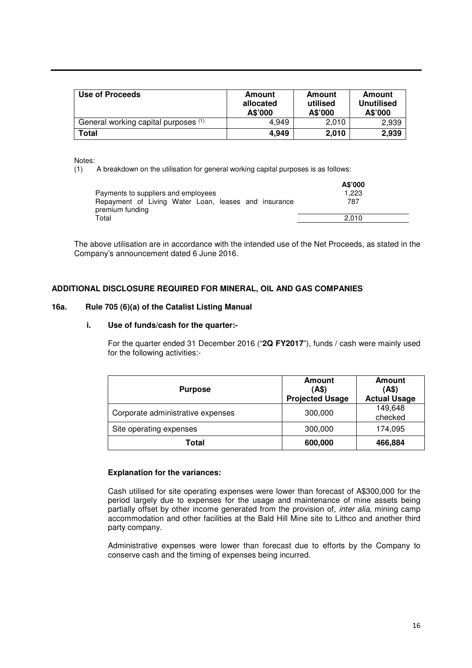| Use of Proceeds                      | Amount<br>allocated<br>A\$'000 | Amount<br>utilised<br>A\$'000 | Amount<br><b>Unutilised</b><br>A\$'000 |
|--------------------------------------|--------------------------------|-------------------------------|----------------------------------------|
| General working capital purposes (1) | 4.949                          | 2.010                         | 2,939                                  |
| Total                                | 4,949                          | 2,010                         | 2,939                                  |

Notes:<br>(1)

A breakdown on the utilisation for general working capital purposes is as follows:

| Payments to suppliers and employees                                     | A\$'000<br>1.223 |
|-------------------------------------------------------------------------|------------------|
| Repayment of Living Water Loan, leases and insurance<br>premium funding | 787              |
| Total                                                                   | 2.010            |

The above utilisation are in accordance with the intended use of the Net Proceeds, as stated in the Company's announcement dated 6 June 2016.

### **ADDITIONAL DISCLOSURE REQUIRED FOR MINERAL, OIL AND GAS COMPANIES**

### **16a. Rule 705 (6)(a) of the Catalist Listing Manual**

### **i. Use of funds/cash for the quarter:-**

For the quarter ended 31 December 2016 ("**2Q FY2017**"), funds / cash were mainly used for the following activities:-

| <b>Purpose</b>                    | <b>Amount</b><br>(AS)<br><b>Projected Usage</b> | Amount<br>(AS)<br><b>Actual Usage</b> |
|-----------------------------------|-------------------------------------------------|---------------------------------------|
| Corporate administrative expenses | 300,000                                         | 149,648<br>checked                    |
| Site operating expenses           | 300,000                                         | 174,095                               |
| Total                             | 600,000                                         | 466,884                               |

### **Explanation for the variances:**

Cash utilised for site operating expenses were lower than forecast of A\$300,000 for the period largely due to expenses for the usage and maintenance of mine assets being partially offset by other income generated from the provision of, *inter alia*, mining camp accommodation and other facilities at the Bald Hill Mine site to Lithco and another third party company.

Administrative expenses were lower than forecast due to efforts by the Company to conserve cash and the timing of expenses being incurred.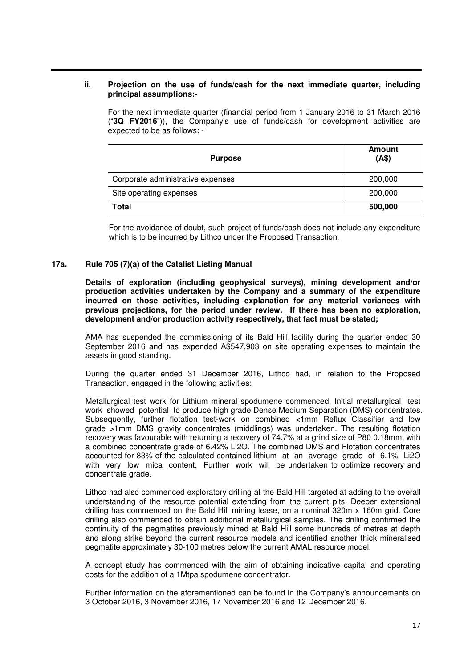### **ii. Projection on the use of funds/cash for the next immediate quarter, including principal assumptions:-**

For the next immediate quarter (financial period from 1 January 2016 to 31 March 2016 ("**3Q FY2016**")), the Company's use of funds/cash for development activities are expected to be as follows: -

| <b>Purpose</b>                    | <b>Amount</b><br>(AS) |
|-----------------------------------|-----------------------|
| Corporate administrative expenses | 200,000               |
| Site operating expenses           | 200,000               |
| <b>Total</b>                      | 500,000               |

For the avoidance of doubt, such project of funds/cash does not include any expenditure which is to be incurred by Lithco under the Proposed Transaction.

### **17a. Rule 705 (7)(a) of the Catalist Listing Manual**

**Details of exploration (including geophysical surveys), mining development and/or production activities undertaken by the Company and a summary of the expenditure incurred on those activities, including explanation for any material variances with previous projections, for the period under review. If there has been no exploration, development and/or production activity respectively, that fact must be stated;** 

AMA has suspended the commissioning of its Bald Hill facility during the quarter ended 30 September 2016 and has expended A\$547,903 on site operating expenses to maintain the assets in good standing.

During the quarter ended 31 December 2016, Lithco had, in relation to the Proposed Transaction, engaged in the following activities:

Metallurgical test work for Lithium mineral spodumene commenced. Initial metallurgical test work showed potential to produce high grade Dense Medium Separation (DMS) concentrates. Subsequently, further flotation test-work on combined <1mm Reflux Classifier and low grade >1mm DMS gravity concentrates (middlings) was undertaken. The resulting flotation recovery was favourable with returning a recovery of 74.7% at a grind size of P80 0.18mm, with a combined concentrate grade of 6.42% Li2O. The combined DMS and Flotation concentrates accounted for 83% of the calculated contained lithium at an average grade of 6.1% Li2O with very low mica content. Further work will be undertaken to optimize recovery and concentrate grade.

Lithco had also commenced exploratory drilling at the Bald Hill targeted at adding to the overall understanding of the resource potential extending from the current pits. Deeper extensional drilling has commenced on the Bald Hill mining lease, on a nominal 320m x 160m grid. Core drilling also commenced to obtain additional metallurgical samples. The drilling confirmed the continuity of the pegmatites previously mined at Bald Hill some hundreds of metres at depth and along strike beyond the current resource models and identified another thick mineralised pegmatite approximately 30-100 metres below the current AMAL resource model.

A concept study has commenced with the aim of obtaining indicative capital and operating costs for the addition of a 1Mtpa spodumene concentrator.

Further information on the aforementioned can be found in the Company's announcements on 3 October 2016, 3 November 2016, 17 November 2016 and 12 December 2016.